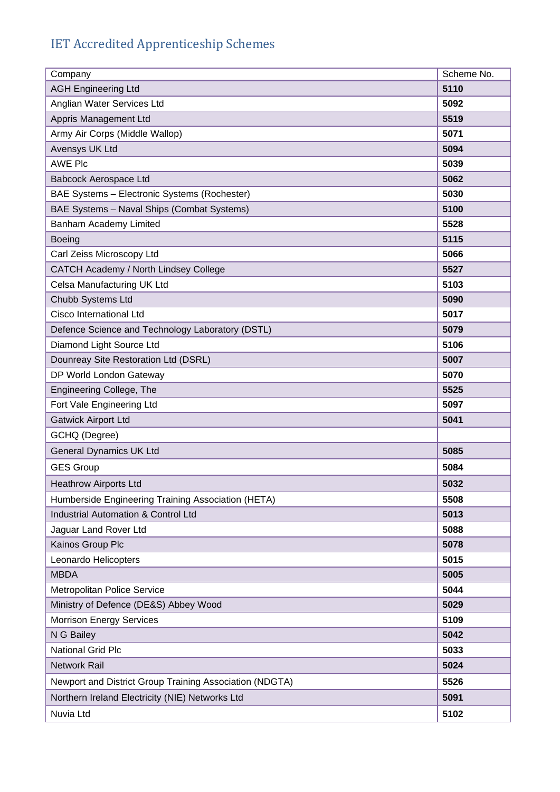## IET Accredited Apprenticeship Schemes

| Company                                                 | Scheme No. |
|---------------------------------------------------------|------------|
| <b>AGH Engineering Ltd</b>                              | 5110       |
| Anglian Water Services Ltd                              | 5092       |
| Appris Management Ltd                                   | 5519       |
| Army Air Corps (Middle Wallop)                          | 5071       |
| Avensys UK Ltd                                          | 5094       |
| <b>AWE Plc</b>                                          | 5039       |
| Babcock Aerospace Ltd                                   | 5062       |
| BAE Systems - Electronic Systems (Rochester)            | 5030       |
| BAE Systems - Naval Ships (Combat Systems)              | 5100       |
| Banham Academy Limited                                  | 5528       |
| <b>Boeing</b>                                           | 5115       |
| Carl Zeiss Microscopy Ltd                               | 5066       |
| CATCH Academy / North Lindsey College                   | 5527       |
| Celsa Manufacturing UK Ltd                              | 5103       |
| Chubb Systems Ltd                                       | 5090       |
| Cisco International Ltd                                 | 5017       |
| Defence Science and Technology Laboratory (DSTL)        | 5079       |
| Diamond Light Source Ltd                                | 5106       |
| Dounreay Site Restoration Ltd (DSRL)                    | 5007       |
| DP World London Gateway                                 | 5070       |
| Engineering College, The                                | 5525       |
| Fort Vale Engineering Ltd                               | 5097       |
| <b>Gatwick Airport Ltd</b>                              | 5041       |
| GCHQ (Degree)                                           |            |
| <b>General Dynamics UK Ltd</b>                          | 5085       |
| <b>GES Group</b>                                        | 5084       |
| <b>Heathrow Airports Ltd</b>                            | 5032       |
| Humberside Engineering Training Association (HETA)      | 5508       |
| <b>Industrial Automation &amp; Control Ltd</b>          | 5013       |
| Jaguar Land Rover Ltd                                   | 5088       |
| Kainos Group Plc                                        | 5078       |
| Leonardo Helicopters                                    | 5015       |
| <b>MBDA</b>                                             | 5005       |
| Metropolitan Police Service                             | 5044       |
| Ministry of Defence (DE&S) Abbey Wood                   | 5029       |
| <b>Morrison Energy Services</b>                         | 5109       |
| N G Bailey                                              | 5042       |
| <b>National Grid Plc</b>                                | 5033       |
| Network Rail                                            | 5024       |
| Newport and District Group Training Association (NDGTA) | 5526       |
| Northern Ireland Electricity (NIE) Networks Ltd         | 5091       |
| Nuvia Ltd                                               | 5102       |
|                                                         |            |